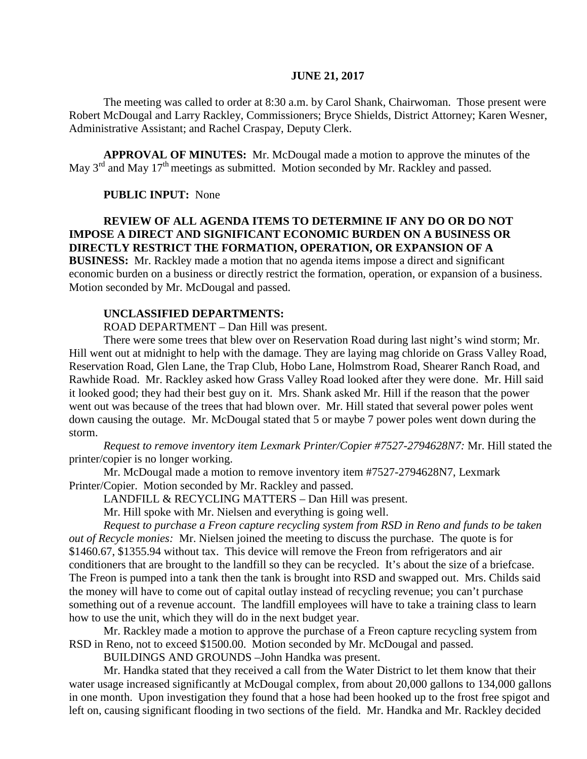#### **JUNE 21, 2017**

The meeting was called to order at 8:30 a.m. by Carol Shank, Chairwoman. Those present were Robert McDougal and Larry Rackley, Commissioners; Bryce Shields, District Attorney; Karen Wesner, Administrative Assistant; and Rachel Craspay, Deputy Clerk.

**APPROVAL OF MINUTES:** Mr. McDougal made a motion to approve the minutes of the May 3<sup>rd</sup> and May 17<sup>th</sup> meetings as submitted. Motion seconded by Mr. Rackley and passed.

### **PUBLIC INPUT:** None

## **REVIEW OF ALL AGENDA ITEMS TO DETERMINE IF ANY DO OR DO NOT IMPOSE A DIRECT AND SIGNIFICANT ECONOMIC BURDEN ON A BUSINESS OR DIRECTLY RESTRICT THE FORMATION, OPERATION, OR EXPANSION OF A BUSINESS:** Mr. Rackley made a motion that no agenda items impose a direct and significant

economic burden on a business or directly restrict the formation, operation, or expansion of a business. Motion seconded by Mr. McDougal and passed.

### **UNCLASSIFIED DEPARTMENTS:**

ROAD DEPARTMENT – Dan Hill was present.

There were some trees that blew over on Reservation Road during last night's wind storm; Mr. Hill went out at midnight to help with the damage. They are laying mag chloride on Grass Valley Road, Reservation Road, Glen Lane, the Trap Club, Hobo Lane, Holmstrom Road, Shearer Ranch Road, and Rawhide Road. Mr. Rackley asked how Grass Valley Road looked after they were done. Mr. Hill said it looked good; they had their best guy on it. Mrs. Shank asked Mr. Hill if the reason that the power went out was because of the trees that had blown over. Mr. Hill stated that several power poles went down causing the outage. Mr. McDougal stated that 5 or maybe 7 power poles went down during the storm.

*Request to remove inventory item Lexmark Printer/Copier #7527-2794628N7:* Mr. Hill stated the printer/copier is no longer working.

Mr. McDougal made a motion to remove inventory item #7527-2794628N7, Lexmark

Printer/Copier. Motion seconded by Mr. Rackley and passed.

LANDFILL & RECYCLING MATTERS – Dan Hill was present.

Mr. Hill spoke with Mr. Nielsen and everything is going well.

*Request to purchase a Freon capture recycling system from RSD in Reno and funds to be taken out of Recycle monies:* Mr. Nielsen joined the meeting to discuss the purchase. The quote is for \$1460.67, \$1355.94 without tax. This device will remove the Freon from refrigerators and air conditioners that are brought to the landfill so they can be recycled. It's about the size of a briefcase. The Freon is pumped into a tank then the tank is brought into RSD and swapped out. Mrs. Childs said the money will have to come out of capital outlay instead of recycling revenue; you can't purchase something out of a revenue account. The landfill employees will have to take a training class to learn how to use the unit, which they will do in the next budget year.

Mr. Rackley made a motion to approve the purchase of a Freon capture recycling system from RSD in Reno, not to exceed \$1500.00. Motion seconded by Mr. McDougal and passed.

BUILDINGS AND GROUNDS –John Handka was present.

Mr. Handka stated that they received a call from the Water District to let them know that their water usage increased significantly at McDougal complex, from about 20,000 gallons to 134,000 gallons in one month. Upon investigation they found that a hose had been hooked up to the frost free spigot and left on, causing significant flooding in two sections of the field. Mr. Handka and Mr. Rackley decided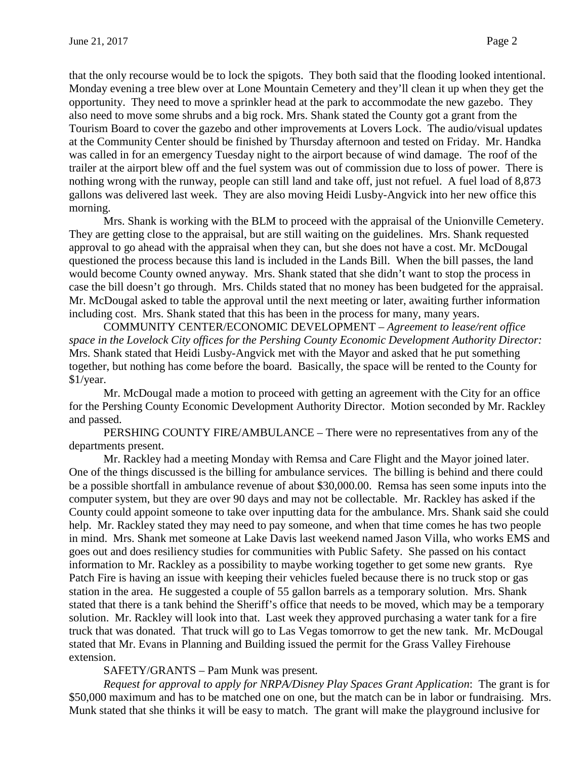that the only recourse would be to lock the spigots. They both said that the flooding looked intentional. Monday evening a tree blew over at Lone Mountain Cemetery and they'll clean it up when they get the opportunity. They need to move a sprinkler head at the park to accommodate the new gazebo. They also need to move some shrubs and a big rock. Mrs. Shank stated the County got a grant from the Tourism Board to cover the gazebo and other improvements at Lovers Lock. The audio/visual updates at the Community Center should be finished by Thursday afternoon and tested on Friday. Mr. Handka was called in for an emergency Tuesday night to the airport because of wind damage. The roof of the trailer at the airport blew off and the fuel system was out of commission due to loss of power. There is nothing wrong with the runway, people can still land and take off, just not refuel. A fuel load of 8,873 gallons was delivered last week. They are also moving Heidi Lusby-Angvick into her new office this morning.

Mrs. Shank is working with the BLM to proceed with the appraisal of the Unionville Cemetery. They are getting close to the appraisal, but are still waiting on the guidelines. Mrs. Shank requested approval to go ahead with the appraisal when they can, but she does not have a cost. Mr. McDougal questioned the process because this land is included in the Lands Bill. When the bill passes, the land would become County owned anyway. Mrs. Shank stated that she didn't want to stop the process in case the bill doesn't go through. Mrs. Childs stated that no money has been budgeted for the appraisal. Mr. McDougal asked to table the approval until the next meeting or later, awaiting further information including cost. Mrs. Shank stated that this has been in the process for many, many years.

COMMUNITY CENTER/ECONOMIC DEVELOPMENT – *Agreement to lease/rent office space in the Lovelock City offices for the Pershing County Economic Development Authority Director:* Mrs. Shank stated that Heidi Lusby-Angvick met with the Mayor and asked that he put something together, but nothing has come before the board. Basically, the space will be rented to the County for \$1/year.

Mr. McDougal made a motion to proceed with getting an agreement with the City for an office for the Pershing County Economic Development Authority Director. Motion seconded by Mr. Rackley and passed.

PERSHING COUNTY FIRE/AMBULANCE – There were no representatives from any of the departments present.

Mr. Rackley had a meeting Monday with Remsa and Care Flight and the Mayor joined later. One of the things discussed is the billing for ambulance services. The billing is behind and there could be a possible shortfall in ambulance revenue of about \$30,000.00. Remsa has seen some inputs into the computer system, but they are over 90 days and may not be collectable. Mr. Rackley has asked if the County could appoint someone to take over inputting data for the ambulance. Mrs. Shank said she could help. Mr. Rackley stated they may need to pay someone, and when that time comes he has two people in mind. Mrs. Shank met someone at Lake Davis last weekend named Jason Villa, who works EMS and goes out and does resiliency studies for communities with Public Safety. She passed on his contact information to Mr. Rackley as a possibility to maybe working together to get some new grants. Rye Patch Fire is having an issue with keeping their vehicles fueled because there is no truck stop or gas station in the area. He suggested a couple of 55 gallon barrels as a temporary solution. Mrs. Shank stated that there is a tank behind the Sheriff's office that needs to be moved, which may be a temporary solution. Mr. Rackley will look into that. Last week they approved purchasing a water tank for a fire truck that was donated. That truck will go to Las Vegas tomorrow to get the new tank. Mr. McDougal stated that Mr. Evans in Planning and Building issued the permit for the Grass Valley Firehouse extension.

## SAFETY/GRANTS – Pam Munk was present*.*

*Request for approval to apply for NRPA/Disney Play Spaces Grant Application*: The grant is for \$50,000 maximum and has to be matched one on one, but the match can be in labor or fundraising. Mrs. Munk stated that she thinks it will be easy to match. The grant will make the playground inclusive for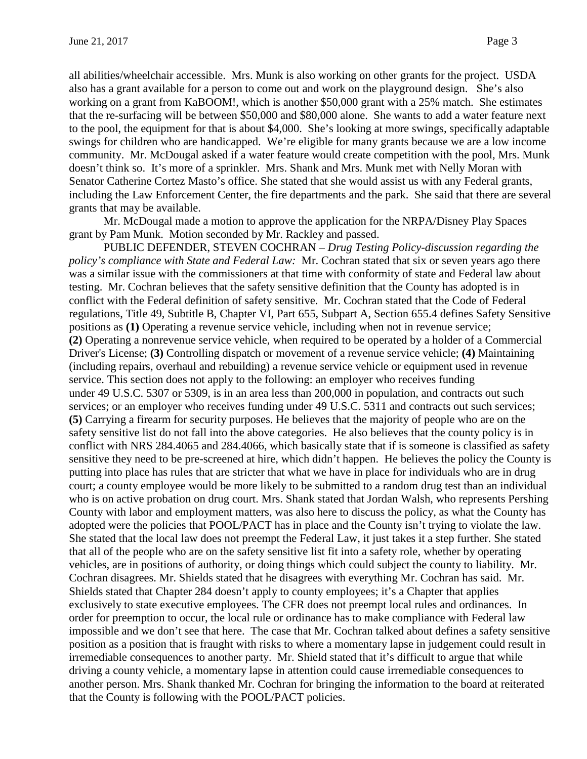all abilities/wheelchair accessible. Mrs. Munk is also working on other grants for the project. USDA also has a grant available for a person to come out and work on the playground design. She's also working on a grant from KaBOOM!, which is another \$50,000 grant with a 25% match. She estimates that the re-surfacing will be between \$50,000 and \$80,000 alone. She wants to add a water feature next to the pool, the equipment for that is about \$4,000. She's looking at more swings, specifically adaptable swings for children who are handicapped. We're eligible for many grants because we are a low income community. Mr. McDougal asked if a water feature would create competition with the pool, Mrs. Munk doesn't think so. It's more of a sprinkler. Mrs. Shank and Mrs. Munk met with Nelly Moran with Senator Catherine Cortez Masto's office. She stated that she would assist us with any Federal grants, including the Law Enforcement Center, the fire departments and the park. She said that there are several grants that may be available.

Mr. McDougal made a motion to approve the application for the NRPA/Disney Play Spaces grant by Pam Munk. Motion seconded by Mr. Rackley and passed.

PUBLIC DEFENDER, STEVEN COCHRAN – *Drug Testing Policy-discussion regarding the policy's compliance with State and Federal Law:* Mr. Cochran stated that six or seven years ago there was a similar issue with the commissioners at that time with conformity of state and Federal law about testing. Mr. Cochran believes that the safety sensitive definition that the County has adopted is in conflict with the Federal definition of safety sensitive. Mr. Cochran stated that the Code of Federal regulations, Title 49, Subtitle B, Chapter VI, Part 655, Subpart A, Section 655.4 defines Safety Sensitive positions as **(1)** Operating a revenue service vehicle, including when not in revenue service; **(2)** Operating a nonrevenue service vehicle, when required to be operated by a holder of a Commercial Driver's License; **(3)** Controlling dispatch or movement of a revenue service vehicle; **(4)** Maintaining (including repairs, overhaul and rebuilding) a revenue service vehicle or equipment used in revenue service. This section does not apply to the following: an employer who receives funding under 49 U.S.C. 5307 or 5309, is in an area less than 200,000 in population, and contracts out such services; or an employer who receives funding under 49 U.S.C. 5311 and contracts out such services; **(5)** Carrying a firearm for security purposes. He believes that the majority of people who are on the safety sensitive list do not fall into the above categories. He also believes that the county policy is in conflict with NRS 284.4065 and 284.4066, which basically state that if is someone is classified as safety sensitive they need to be pre-screened at hire, which didn't happen. He believes the policy the County is putting into place has rules that are stricter that what we have in place for individuals who are in drug court; a county employee would be more likely to be submitted to a random drug test than an individual who is on active probation on drug court. Mrs. Shank stated that Jordan Walsh, who represents Pershing County with labor and employment matters, was also here to discuss the policy, as what the County has adopted were the policies that POOL/PACT has in place and the County isn't trying to violate the law. She stated that the local law does not preempt the Federal Law, it just takes it a step further. She stated that all of the people who are on the safety sensitive list fit into a safety role, whether by operating vehicles, are in positions of authority, or doing things which could subject the county to liability. Mr. Cochran disagrees. Mr. Shields stated that he disagrees with everything Mr. Cochran has said. Mr. Shields stated that Chapter 284 doesn't apply to county employees; it's a Chapter that applies exclusively to state executive employees. The CFR does not preempt local rules and ordinances. In order for preemption to occur, the local rule or ordinance has to make compliance with Federal law impossible and we don't see that here. The case that Mr. Cochran talked about defines a safety sensitive position as a position that is fraught with risks to where a momentary lapse in judgement could result in irremediable consequences to another party. Mr. Shield stated that it's difficult to argue that while driving a county vehicle, a momentary lapse in attention could cause irremediable consequences to another person. Mrs. Shank thanked Mr. Cochran for bringing the information to the board at reiterated that the County is following with the POOL/PACT policies.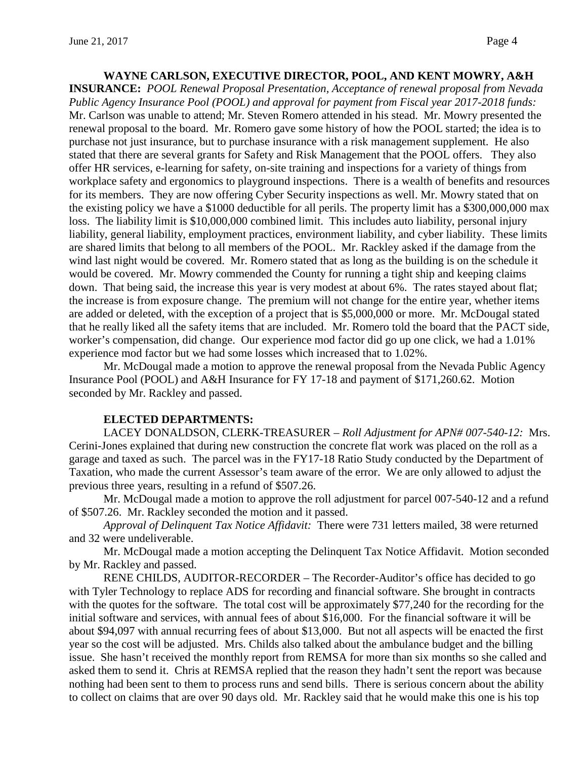# **WAYNE CARLSON, EXECUTIVE DIRECTOR, POOL, AND KENT MOWRY, A&H**

**INSURANCE:** *POOL Renewal Proposal Presentation, Acceptance of renewal proposal from Nevada Public Agency Insurance Pool (POOL) and approval for payment from Fiscal year 2017-2018 funds:*  Mr. Carlson was unable to attend; Mr. Steven Romero attended in his stead. Mr. Mowry presented the renewal proposal to the board. Mr. Romero gave some history of how the POOL started; the idea is to purchase not just insurance, but to purchase insurance with a risk management supplement. He also stated that there are several grants for Safety and Risk Management that the POOL offers. They also offer HR services, e-learning for safety, on-site training and inspections for a variety of things from workplace safety and ergonomics to playground inspections. There is a wealth of benefits and resources for its members. They are now offering Cyber Security inspections as well. Mr. Mowry stated that on the existing policy we have a \$1000 deductible for all perils. The property limit has a \$300,000,000 max loss. The liability limit is \$10,000,000 combined limit. This includes auto liability, personal injury liability, general liability, employment practices, environment liability, and cyber liability. These limits are shared limits that belong to all members of the POOL. Mr. Rackley asked if the damage from the wind last night would be covered. Mr. Romero stated that as long as the building is on the schedule it would be covered. Mr. Mowry commended the County for running a tight ship and keeping claims down. That being said, the increase this year is very modest at about 6%. The rates stayed about flat; the increase is from exposure change. The premium will not change for the entire year, whether items are added or deleted, with the exception of a project that is \$5,000,000 or more. Mr. McDougal stated that he really liked all the safety items that are included. Mr. Romero told the board that the PACT side, worker's compensation, did change. Our experience mod factor did go up one click, we had a 1.01% experience mod factor but we had some losses which increased that to 1.02%.

Mr. McDougal made a motion to approve the renewal proposal from the Nevada Public Agency Insurance Pool (POOL) and A&H Insurance for FY 17-18 and payment of \$171,260.62. Motion seconded by Mr. Rackley and passed.

#### **ELECTED DEPARTMENTS:**

LACEY DONALDSON, CLERK-TREASURER – *Roll Adjustment for APN# 007-540-12:* Mrs. Cerini-Jones explained that during new construction the concrete flat work was placed on the roll as a garage and taxed as such. The parcel was in the FY17-18 Ratio Study conducted by the Department of Taxation, who made the current Assessor's team aware of the error. We are only allowed to adjust the previous three years, resulting in a refund of \$507.26.

Mr. McDougal made a motion to approve the roll adjustment for parcel 007-540-12 and a refund of \$507.26. Mr. Rackley seconded the motion and it passed.

*Approval of Delinquent Tax Notice Affidavit:* There were 731 letters mailed, 38 were returned and 32 were undeliverable.

Mr. McDougal made a motion accepting the Delinquent Tax Notice Affidavit. Motion seconded by Mr. Rackley and passed.

RENE CHILDS, AUDITOR-RECORDER – The Recorder-Auditor's office has decided to go with Tyler Technology to replace ADS for recording and financial software. She brought in contracts with the quotes for the software. The total cost will be approximately \$77,240 for the recording for the initial software and services, with annual fees of about \$16,000. For the financial software it will be about \$94,097 with annual recurring fees of about \$13,000. But not all aspects will be enacted the first year so the cost will be adjusted. Mrs. Childs also talked about the ambulance budget and the billing issue. She hasn't received the monthly report from REMSA for more than six months so she called and asked them to send it. Chris at REMSA replied that the reason they hadn't sent the report was because nothing had been sent to them to process runs and send bills. There is serious concern about the ability to collect on claims that are over 90 days old. Mr. Rackley said that he would make this one is his top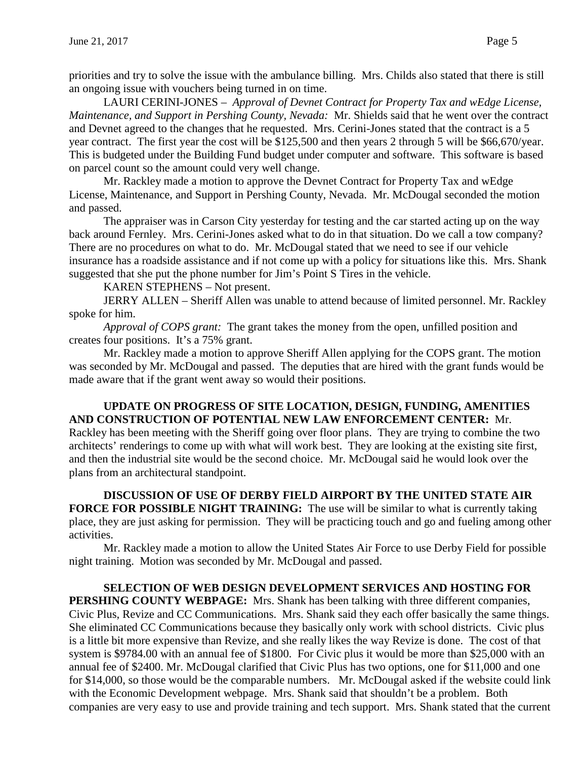priorities and try to solve the issue with the ambulance billing. Mrs. Childs also stated that there is still an ongoing issue with vouchers being turned in on time.

LAURI CERINI-JONES – *Approval of Devnet Contract for Property Tax and wEdge License, Maintenance, and Support in Pershing County, Nevada:* Mr. Shields said that he went over the contract and Devnet agreed to the changes that he requested. Mrs. Cerini-Jones stated that the contract is a 5 year contract. The first year the cost will be \$125,500 and then years 2 through 5 will be \$66,670/year. This is budgeted under the Building Fund budget under computer and software. This software is based on parcel count so the amount could very well change.

Mr. Rackley made a motion to approve the Devnet Contract for Property Tax and wEdge License, Maintenance, and Support in Pershing County, Nevada. Mr. McDougal seconded the motion and passed.

The appraiser was in Carson City yesterday for testing and the car started acting up on the way back around Fernley. Mrs. Cerini-Jones asked what to do in that situation. Do we call a tow company? There are no procedures on what to do. Mr. McDougal stated that we need to see if our vehicle insurance has a roadside assistance and if not come up with a policy for situations like this. Mrs. Shank suggested that she put the phone number for Jim's Point S Tires in the vehicle.

## KAREN STEPHENS – Not present.

JERRY ALLEN – Sheriff Allen was unable to attend because of limited personnel. Mr. Rackley spoke for him.

*Approval of COPS grant:* The grant takes the money from the open, unfilled position and creates four positions. It's a 75% grant.

Mr. Rackley made a motion to approve Sheriff Allen applying for the COPS grant. The motion was seconded by Mr. McDougal and passed. The deputies that are hired with the grant funds would be made aware that if the grant went away so would their positions.

## **UPDATE ON PROGRESS OF SITE LOCATION, DESIGN, FUNDING, AMENITIES AND CONSTRUCTION OF POTENTIAL NEW LAW ENFORCEMENT CENTER:** Mr.

Rackley has been meeting with the Sheriff going over floor plans. They are trying to combine the two architects' renderings to come up with what will work best. They are looking at the existing site first, and then the industrial site would be the second choice. Mr. McDougal said he would look over the plans from an architectural standpoint.

**DISCUSSION OF USE OF DERBY FIELD AIRPORT BY THE UNITED STATE AIR FORCE FOR POSSIBLE NIGHT TRAINING:** The use will be similar to what is currently taking place, they are just asking for permission. They will be practicing touch and go and fueling among other activities.

Mr. Rackley made a motion to allow the United States Air Force to use Derby Field for possible night training. Motion was seconded by Mr. McDougal and passed.

**SELECTION OF WEB DESIGN DEVELOPMENT SERVICES AND HOSTING FOR PERSHING COUNTY WEBPAGE:** Mrs. Shank has been talking with three different companies, Civic Plus, Revize and CC Communications. Mrs. Shank said they each offer basically the same things. She eliminated CC Communications because they basically only work with school districts. Civic plus is a little bit more expensive than Revize, and she really likes the way Revize is done. The cost of that system is \$9784.00 with an annual fee of \$1800. For Civic plus it would be more than \$25,000 with an annual fee of \$2400. Mr. McDougal clarified that Civic Plus has two options, one for \$11,000 and one for \$14,000, so those would be the comparable numbers. Mr. McDougal asked if the website could link with the Economic Development webpage. Mrs. Shank said that shouldn't be a problem. Both companies are very easy to use and provide training and tech support. Mrs. Shank stated that the current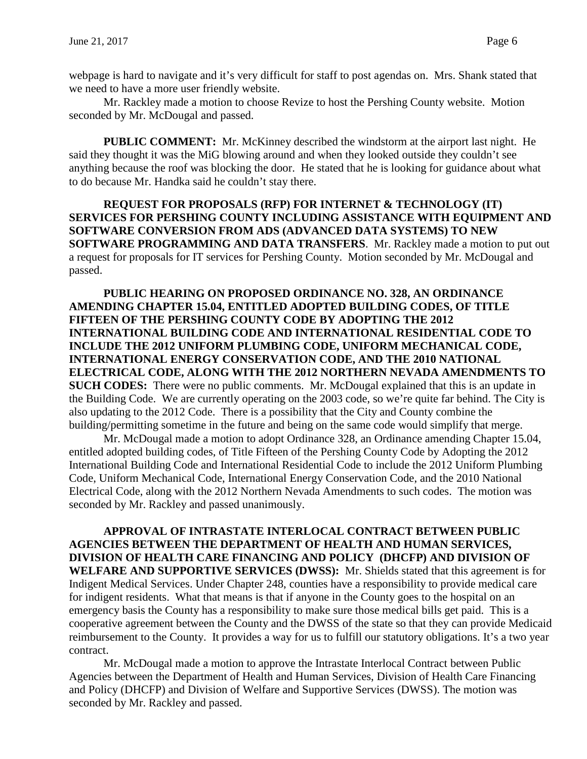webpage is hard to navigate and it's very difficult for staff to post agendas on. Mrs. Shank stated that we need to have a more user friendly website.

Mr. Rackley made a motion to choose Revize to host the Pershing County website. Motion seconded by Mr. McDougal and passed.

**PUBLIC COMMENT:** Mr. McKinney described the windstorm at the airport last night. He said they thought it was the MiG blowing around and when they looked outside they couldn't see anything because the roof was blocking the door. He stated that he is looking for guidance about what to do because Mr. Handka said he couldn't stay there.

**REQUEST FOR PROPOSALS (RFP) FOR INTERNET & TECHNOLOGY (IT) SERVICES FOR PERSHING COUNTY INCLUDING ASSISTANCE WITH EQUIPMENT AND SOFTWARE CONVERSION FROM ADS (ADVANCED DATA SYSTEMS) TO NEW SOFTWARE PROGRAMMING AND DATA TRANSFERS**. Mr. Rackley made a motion to put out a request for proposals for IT services for Pershing County. Motion seconded by Mr. McDougal and passed.

**PUBLIC HEARING ON PROPOSED ORDINANCE NO. 328, AN ORDINANCE AMENDING CHAPTER 15.04, ENTITLED ADOPTED BUILDING CODES, OF TITLE FIFTEEN OF THE PERSHING COUNTY CODE BY ADOPTING THE 2012 INTERNATIONAL BUILDING CODE AND INTERNATIONAL RESIDENTIAL CODE TO INCLUDE THE 2012 UNIFORM PLUMBING CODE, UNIFORM MECHANICAL CODE, INTERNATIONAL ENERGY CONSERVATION CODE, AND THE 2010 NATIONAL ELECTRICAL CODE, ALONG WITH THE 2012 NORTHERN NEVADA AMENDMENTS TO SUCH CODES:** There were no public comments. Mr. McDougal explained that this is an update in the Building Code. We are currently operating on the 2003 code, so we're quite far behind. The City is also updating to the 2012 Code. There is a possibility that the City and County combine the building/permitting sometime in the future and being on the same code would simplify that merge.

Mr. McDougal made a motion to adopt Ordinance 328, an Ordinance amending Chapter 15.04, entitled adopted building codes, of Title Fifteen of the Pershing County Code by Adopting the 2012 International Building Code and International Residential Code to include the 2012 Uniform Plumbing Code, Uniform Mechanical Code, International Energy Conservation Code, and the 2010 National Electrical Code, along with the 2012 Northern Nevada Amendments to such codes. The motion was seconded by Mr. Rackley and passed unanimously.

**APPROVAL OF INTRASTATE INTERLOCAL CONTRACT BETWEEN PUBLIC AGENCIES BETWEEN THE DEPARTMENT OF HEALTH AND HUMAN SERVICES, DIVISION OF HEALTH CARE FINANCING AND POLICY (DHCFP) AND DIVISION OF WELFARE AND SUPPORTIVE SERVICES (DWSS):** Mr. Shields stated that this agreement is for Indigent Medical Services. Under Chapter 248, counties have a responsibility to provide medical care for indigent residents. What that means is that if anyone in the County goes to the hospital on an emergency basis the County has a responsibility to make sure those medical bills get paid. This is a cooperative agreement between the County and the DWSS of the state so that they can provide Medicaid reimbursement to the County. It provides a way for us to fulfill our statutory obligations. It's a two year contract.

Mr. McDougal made a motion to approve the Intrastate Interlocal Contract between Public Agencies between the Department of Health and Human Services, Division of Health Care Financing and Policy (DHCFP) and Division of Welfare and Supportive Services (DWSS). The motion was seconded by Mr. Rackley and passed.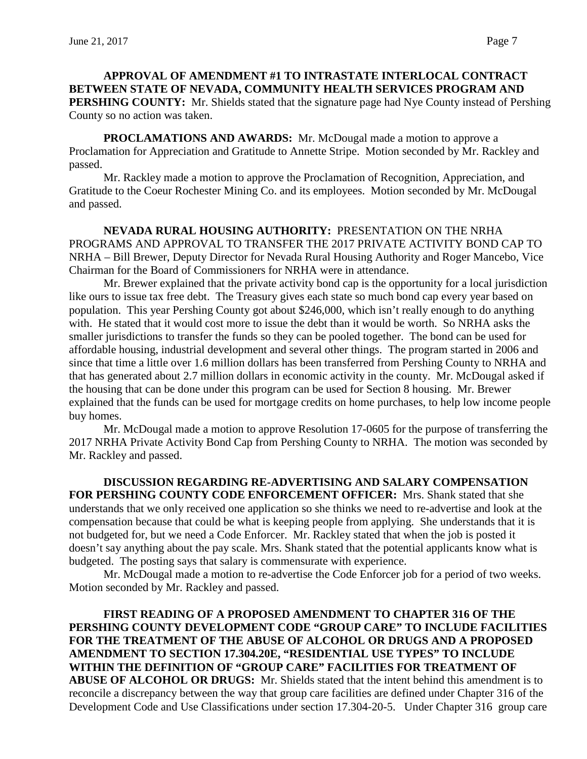# **APPROVAL OF AMENDMENT #1 TO INTRASTATE INTERLOCAL CONTRACT BETWEEN STATE OF NEVADA, COMMUNITY HEALTH SERVICES PROGRAM AND PERSHING COUNTY:** Mr. Shields stated that the signature page had Nye County instead of Pershing County so no action was taken.

**PROCLAMATIONS AND AWARDS:** Mr. McDougal made a motion to approve a Proclamation for Appreciation and Gratitude to Annette Stripe. Motion seconded by Mr. Rackley and passed.

Mr. Rackley made a motion to approve the Proclamation of Recognition, Appreciation, and Gratitude to the Coeur Rochester Mining Co. and its employees. Motion seconded by Mr. McDougal and passed.

**NEVADA RURAL HOUSING AUTHORITY:** PRESENTATION ON THE NRHA PROGRAMS AND APPROVAL TO TRANSFER THE 2017 PRIVATE ACTIVITY BOND CAP TO NRHA – Bill Brewer, Deputy Director for Nevada Rural Housing Authority and Roger Mancebo, Vice Chairman for the Board of Commissioners for NRHA were in attendance.

Mr. Brewer explained that the private activity bond cap is the opportunity for a local jurisdiction like ours to issue tax free debt. The Treasury gives each state so much bond cap every year based on population. This year Pershing County got about \$246,000, which isn't really enough to do anything with. He stated that it would cost more to issue the debt than it would be worth. So NRHA asks the smaller jurisdictions to transfer the funds so they can be pooled together. The bond can be used for affordable housing, industrial development and several other things. The program started in 2006 and since that time a little over 1.6 million dollars has been transferred from Pershing County to NRHA and that has generated about 2.7 million dollars in economic activity in the county. Mr. McDougal asked if the housing that can be done under this program can be used for Section 8 housing. Mr. Brewer explained that the funds can be used for mortgage credits on home purchases, to help low income people buy homes.

Mr. McDougal made a motion to approve Resolution 17-0605 for the purpose of transferring the 2017 NRHA Private Activity Bond Cap from Pershing County to NRHA. The motion was seconded by Mr. Rackley and passed.

**DISCUSSION REGARDING RE-ADVERTISING AND SALARY COMPENSATION FOR PERSHING COUNTY CODE ENFORCEMENT OFFICER:** Mrs. Shank stated that she understands that we only received one application so she thinks we need to re-advertise and look at the compensation because that could be what is keeping people from applying. She understands that it is not budgeted for, but we need a Code Enforcer. Mr. Rackley stated that when the job is posted it doesn't say anything about the pay scale. Mrs. Shank stated that the potential applicants know what is budgeted. The posting says that salary is commensurate with experience.

Mr. McDougal made a motion to re-advertise the Code Enforcer job for a period of two weeks. Motion seconded by Mr. Rackley and passed.

**FIRST READING OF A PROPOSED AMENDMENT TO CHAPTER 316 OF THE PERSHING COUNTY DEVELOPMENT CODE "GROUP CARE" TO INCLUDE FACILITIES FOR THE TREATMENT OF THE ABUSE OF ALCOHOL OR DRUGS AND A PROPOSED AMENDMENT TO SECTION 17.304.20E, "RESIDENTIAL USE TYPES" TO INCLUDE WITHIN THE DEFINITION OF "GROUP CARE" FACILITIES FOR TREATMENT OF ABUSE OF ALCOHOL OR DRUGS:** Mr. Shields stated that the intent behind this amendment is to reconcile a discrepancy between the way that group care facilities are defined under Chapter 316 of the Development Code and Use Classifications under section 17.304-20-5. Under Chapter 316 group care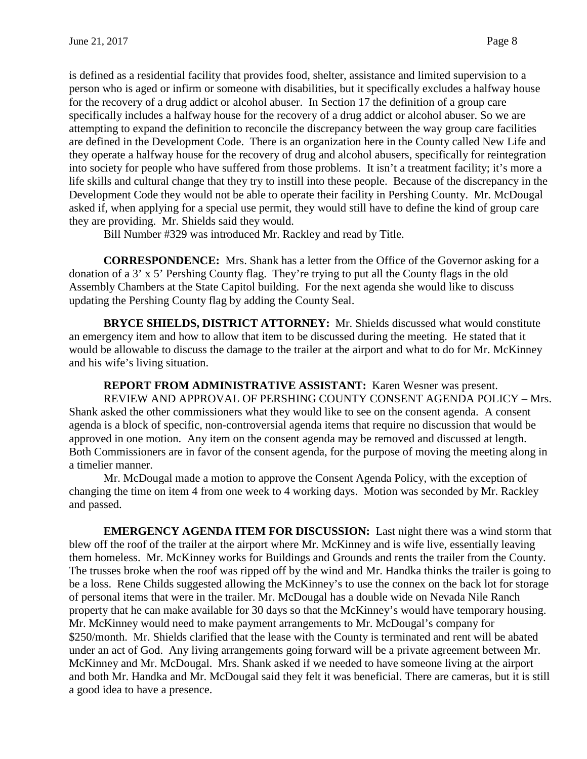is defined as a residential facility that provides food, shelter, assistance and limited supervision to a person who is aged or infirm or someone with disabilities, but it specifically excludes a halfway house for the recovery of a drug addict or alcohol abuser. In Section 17 the definition of a group care specifically includes a halfway house for the recovery of a drug addict or alcohol abuser. So we are attempting to expand the definition to reconcile the discrepancy between the way group care facilities are defined in the Development Code. There is an organization here in the County called New Life and they operate a halfway house for the recovery of drug and alcohol abusers, specifically for reintegration into society for people who have suffered from those problems. It isn't a treatment facility; it's more a life skills and cultural change that they try to instill into these people. Because of the discrepancy in the Development Code they would not be able to operate their facility in Pershing County. Mr. McDougal asked if, when applying for a special use permit, they would still have to define the kind of group care they are providing. Mr. Shields said they would.

Bill Number #329 was introduced Mr. Rackley and read by Title.

**CORRESPONDENCE:** Mrs. Shank has a letter from the Office of the Governor asking for a donation of a 3' x 5' Pershing County flag. They're trying to put all the County flags in the old Assembly Chambers at the State Capitol building. For the next agenda she would like to discuss updating the Pershing County flag by adding the County Seal.

**BRYCE SHIELDS, DISTRICT ATTORNEY:** Mr. Shields discussed what would constitute an emergency item and how to allow that item to be discussed during the meeting. He stated that it would be allowable to discuss the damage to the trailer at the airport and what to do for Mr. McKinney and his wife's living situation.

**REPORT FROM ADMINISTRATIVE ASSISTANT:** Karen Wesner was present. REVIEW AND APPROVAL OF PERSHING COUNTY CONSENT AGENDA POLICY – Mrs. Shank asked the other commissioners what they would like to see on the consent agenda. A consent agenda is a block of specific, non-controversial agenda items that require no discussion that would be approved in one motion. Any item on the consent agenda may be removed and discussed at length. Both Commissioners are in favor of the consent agenda, for the purpose of moving the meeting along in a timelier manner.

Mr. McDougal made a motion to approve the Consent Agenda Policy, with the exception of changing the time on item 4 from one week to 4 working days. Motion was seconded by Mr. Rackley and passed.

**EMERGENCY AGENDA ITEM FOR DISCUSSION:** Last night there was a wind storm that blew off the roof of the trailer at the airport where Mr. McKinney and is wife live, essentially leaving them homeless. Mr. McKinney works for Buildings and Grounds and rents the trailer from the County. The trusses broke when the roof was ripped off by the wind and Mr. Handka thinks the trailer is going to be a loss. Rene Childs suggested allowing the McKinney's to use the connex on the back lot for storage of personal items that were in the trailer. Mr. McDougal has a double wide on Nevada Nile Ranch property that he can make available for 30 days so that the McKinney's would have temporary housing. Mr. McKinney would need to make payment arrangements to Mr. McDougal's company for \$250/month. Mr. Shields clarified that the lease with the County is terminated and rent will be abated under an act of God. Any living arrangements going forward will be a private agreement between Mr. McKinney and Mr. McDougal. Mrs. Shank asked if we needed to have someone living at the airport and both Mr. Handka and Mr. McDougal said they felt it was beneficial. There are cameras, but it is still a good idea to have a presence.